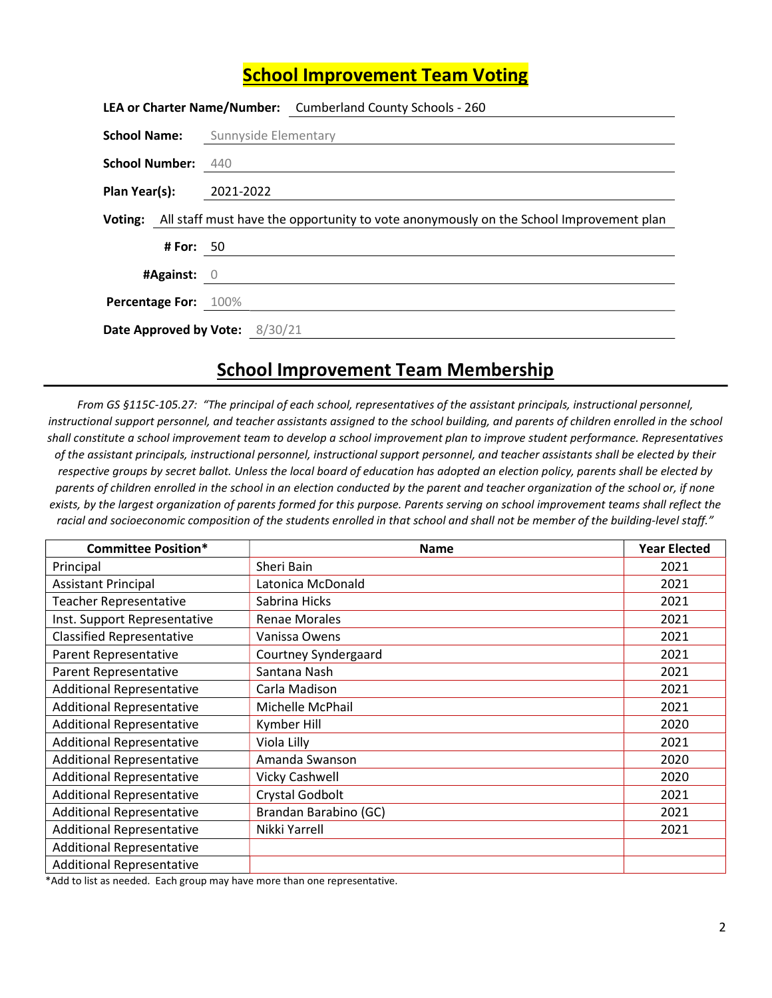## School Improvement Team Voting

|                                                                                                |           | LEA or Charter Name/Number: Cumberland County Schools - 260 |  |
|------------------------------------------------------------------------------------------------|-----------|-------------------------------------------------------------|--|
|                                                                                                |           | <b>School Name:</b> Sunnyside Elementary                    |  |
| <b>School Number: 440</b>                                                                      |           |                                                             |  |
| Plan Year(s): 2021-2022                                                                        |           |                                                             |  |
| Voting: All staff must have the opportunity to vote anonymously on the School Improvement plan |           |                                                             |  |
|                                                                                                | # For: 50 |                                                             |  |
| #Against: $0$                                                                                  |           |                                                             |  |
| Percentage For: 100%                                                                           |           |                                                             |  |
| Date Approved by Vote: 8/30/21                                                                 |           |                                                             |  |

## School Improvement Team Membership

From GS §115C-105.27: "The principal of each school, representatives of the assistant principals, instructional personnel, instructional support personnel, and teacher assistants assigned to the school building, and parents of children enrolled in the school shall constitute a school improvement team to develop a school improvement plan to improve student performance. Representatives of the assistant principals, instructional personnel, instructional support personnel, and teacher assistants shall be elected by their respective groups by secret ballot. Unless the local board of education has adopted an election policy, parents shall be elected by parents of children enrolled in the school in an election conducted by the parent and teacher organization of the school or, if none exists, by the largest organization of parents formed for this purpose. Parents serving on school improvement teams shall reflect the racial and socioeconomic composition of the students enrolled in that school and shall not be member of the building-level staff."

| <b>Committee Position*</b>       | <b>Name</b>           | <b>Year Elected</b> |
|----------------------------------|-----------------------|---------------------|
| Principal                        | Sheri Bain            | 2021                |
| <b>Assistant Principal</b>       | Latonica McDonald     | 2021                |
| <b>Teacher Representative</b>    | Sabrina Hicks         | 2021                |
| Inst. Support Representative     | <b>Renae Morales</b>  | 2021                |
| <b>Classified Representative</b> | Vanissa Owens         | 2021                |
| Parent Representative            | Courtney Syndergaard  | 2021                |
| Parent Representative            | Santana Nash          | 2021                |
| <b>Additional Representative</b> | Carla Madison         | 2021                |
| <b>Additional Representative</b> | Michelle McPhail      | 2021                |
| <b>Additional Representative</b> | Kymber Hill           | 2020                |
| <b>Additional Representative</b> | Viola Lilly           | 2021                |
| <b>Additional Representative</b> | Amanda Swanson        | 2020                |
| <b>Additional Representative</b> | <b>Vicky Cashwell</b> | 2020                |
| <b>Additional Representative</b> | Crystal Godbolt       | 2021                |
| <b>Additional Representative</b> | Brandan Barabino (GC) | 2021                |
| <b>Additional Representative</b> | Nikki Yarrell         | 2021                |
| <b>Additional Representative</b> |                       |                     |
| <b>Additional Representative</b> |                       |                     |

\*Add to list as needed. Each group may have more than one representative.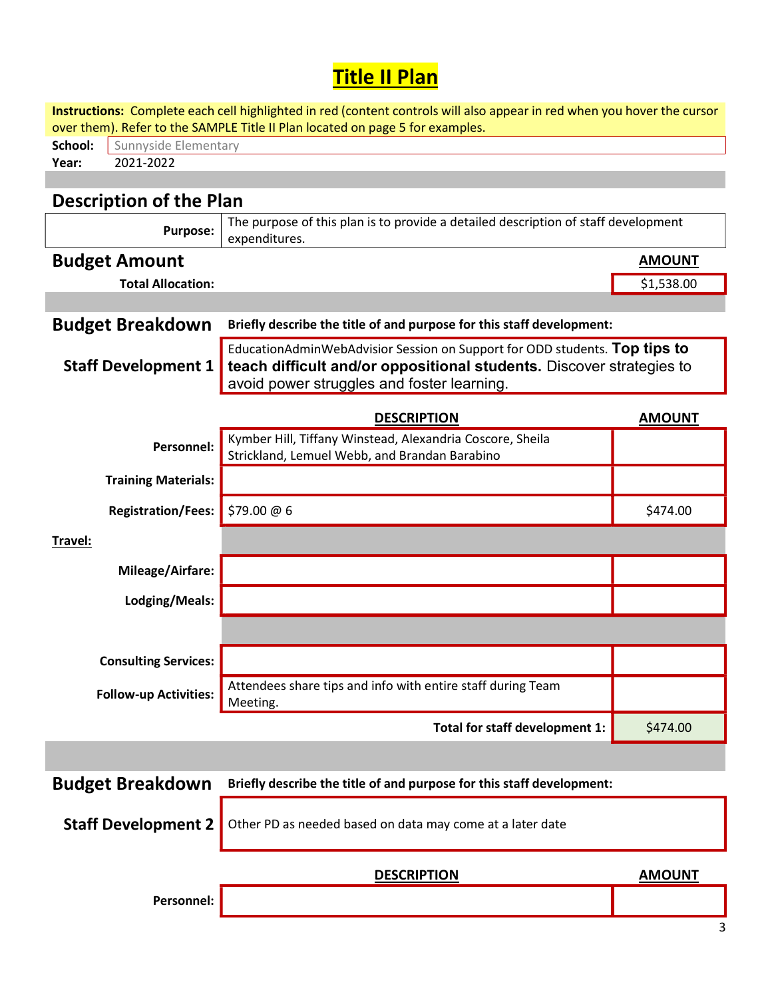## Title II Plan

| Instructions: Complete each cell highlighted in red (content controls will also appear in red when you hover the cursor<br>over them). Refer to the SAMPLE Title II Plan located on page 5 for examples. |                                                                                                                                                                                                  |               |  |  |  |  |  |
|----------------------------------------------------------------------------------------------------------------------------------------------------------------------------------------------------------|--------------------------------------------------------------------------------------------------------------------------------------------------------------------------------------------------|---------------|--|--|--|--|--|
| School:                                                                                                                                                                                                  | Sunnyside Elementary                                                                                                                                                                             |               |  |  |  |  |  |
| 2021-2022<br>Year:                                                                                                                                                                                       |                                                                                                                                                                                                  |               |  |  |  |  |  |
|                                                                                                                                                                                                          |                                                                                                                                                                                                  |               |  |  |  |  |  |
| <b>Description of the Plan</b>                                                                                                                                                                           |                                                                                                                                                                                                  |               |  |  |  |  |  |
| <b>Purpose:</b>                                                                                                                                                                                          | The purpose of this plan is to provide a detailed description of staff development<br>expenditures.                                                                                              |               |  |  |  |  |  |
| <b>Budget Amount</b>                                                                                                                                                                                     |                                                                                                                                                                                                  | <b>AMOUNT</b> |  |  |  |  |  |
| <b>Total Allocation:</b>                                                                                                                                                                                 |                                                                                                                                                                                                  | \$1,538.00    |  |  |  |  |  |
|                                                                                                                                                                                                          |                                                                                                                                                                                                  |               |  |  |  |  |  |
| <b>Budget Breakdown</b>                                                                                                                                                                                  | Briefly describe the title of and purpose for this staff development:                                                                                                                            |               |  |  |  |  |  |
| <b>Staff Development 1</b>                                                                                                                                                                               | EducationAdminWebAdvisior Session on Support for ODD students. Top tips to<br>teach difficult and/or oppositional students. Discover strategies to<br>avoid power struggles and foster learning. |               |  |  |  |  |  |
|                                                                                                                                                                                                          | <b>DESCRIPTION</b>                                                                                                                                                                               | <b>AMOUNT</b> |  |  |  |  |  |
| Personnel:                                                                                                                                                                                               | Kymber Hill, Tiffany Winstead, Alexandria Coscore, Sheila<br>Strickland, Lemuel Webb, and Brandan Barabino                                                                                       |               |  |  |  |  |  |
| <b>Training Materials:</b>                                                                                                                                                                               |                                                                                                                                                                                                  |               |  |  |  |  |  |
| <b>Registration/Fees:</b>                                                                                                                                                                                | \$79.00 @ 6                                                                                                                                                                                      | \$474.00      |  |  |  |  |  |
| Travel:                                                                                                                                                                                                  |                                                                                                                                                                                                  |               |  |  |  |  |  |
| Mileage/Airfare:                                                                                                                                                                                         |                                                                                                                                                                                                  |               |  |  |  |  |  |
| Lodging/Meals:                                                                                                                                                                                           |                                                                                                                                                                                                  |               |  |  |  |  |  |
|                                                                                                                                                                                                          |                                                                                                                                                                                                  |               |  |  |  |  |  |
| <b>Consulting Services:</b>                                                                                                                                                                              |                                                                                                                                                                                                  |               |  |  |  |  |  |
| <b>Follow-up Activities:</b>                                                                                                                                                                             | Attendees share tips and info with entire staff during Team<br>Meeting.                                                                                                                          |               |  |  |  |  |  |
|                                                                                                                                                                                                          | Total for staff development 1:                                                                                                                                                                   | \$474.00      |  |  |  |  |  |
|                                                                                                                                                                                                          |                                                                                                                                                                                                  |               |  |  |  |  |  |
| <b>Budget Breakdown</b>                                                                                                                                                                                  | Briefly describe the title of and purpose for this staff development:                                                                                                                            |               |  |  |  |  |  |
| <b>Staff Development 2</b>                                                                                                                                                                               | Other PD as needed based on data may come at a later date                                                                                                                                        |               |  |  |  |  |  |
|                                                                                                                                                                                                          | <b>DESCRIPTION</b>                                                                                                                                                                               | <b>AMOUNT</b> |  |  |  |  |  |
| Personnel:                                                                                                                                                                                               |                                                                                                                                                                                                  |               |  |  |  |  |  |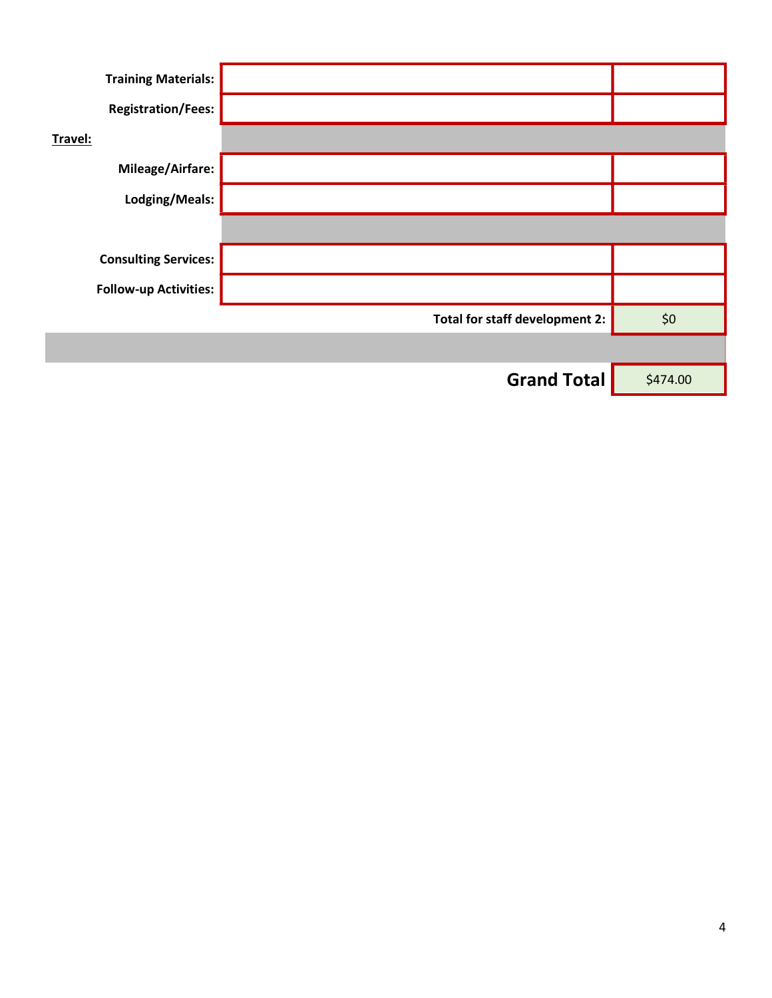| <b>Training Materials:</b>   |                                |          |
|------------------------------|--------------------------------|----------|
| <b>Registration/Fees:</b>    |                                |          |
| Travel:                      |                                |          |
| <b>Mileage/Airfare:</b>      |                                |          |
| Lodging/Meals:               |                                |          |
|                              |                                |          |
| <b>Consulting Services:</b>  |                                |          |
| <b>Follow-up Activities:</b> |                                |          |
|                              | Total for staff development 2: | \$0      |
|                              |                                |          |
|                              | <b>Grand Total</b>             | \$474.00 |